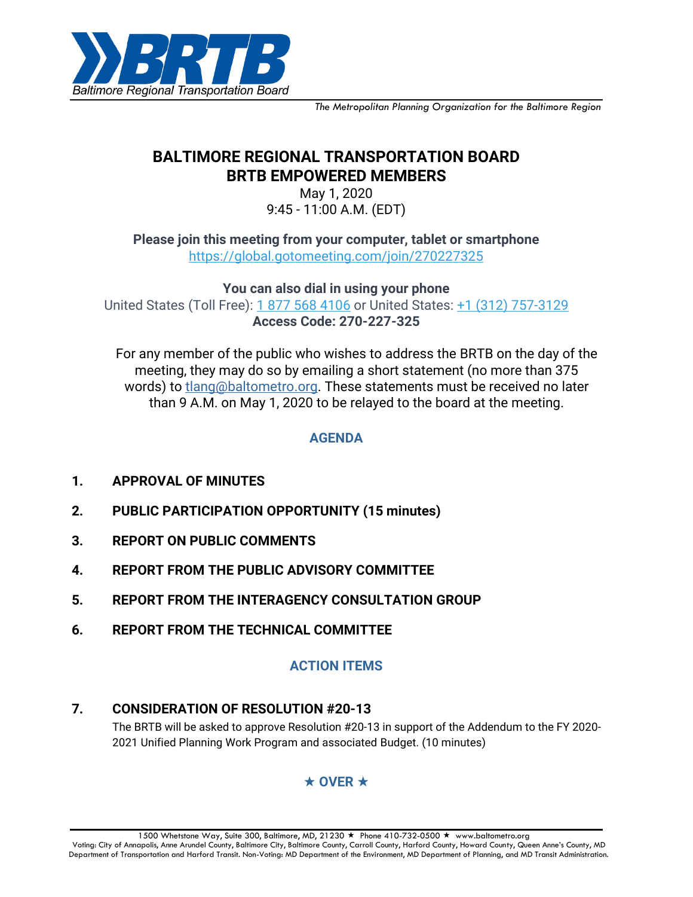

*The Metropolitan Planning Organization for the Baltimore Region*

# **BALTIMORE REGIONAL TRANSPORTATION BOARD BRTB EMPOWERED MEMBERS**

May 1, 2020 9:45 - 11:00 A.M. (EDT)

**Please join this meeting from your computer, tablet or smartphone** <https://global.gotomeeting.com/join/270227325>

**You can also dial in using your phone**

United States (Toll Free): [1 877 568 4106](tel:+18775684106,,270227325) or United States: [+1 \(312\) 757-3129](tel:+13127573129,,270227325) **Access Code: 270-227-325**

For any member of the public who wishes to address the BRTB on the day of the meeting, they may do so by emailing a short statement (no more than 375 words) to [tlang@baltometro.org.](mailto:tlang@baltometro.org) These statements must be received no later than 9 A.M. on May 1, 2020 to be relayed to the board at the meeting.

## **AGENDA**

- **1. APPROVAL OF MINUTES**
- **2. PUBLIC PARTICIPATION OPPORTUNITY (15 minutes)**
- **3. REPORT ON PUBLIC COMMENTS**
- **4. REPORT FROM THE PUBLIC ADVISORY COMMITTEE**
- **5. REPORT FROM THE INTERAGENCY CONSULTATION GROUP**
- **6. REPORT FROM THE TECHNICAL COMMITTEE**

#### **ACTION ITEMS**

## **7. CONSIDERATION OF RESOLUTION #20-13**

The BRTB will be asked to approve Resolution #20-13 in support of the Addendum to the FY 2020- 2021 Unified Planning Work Program and associated Budget. (10 minutes)